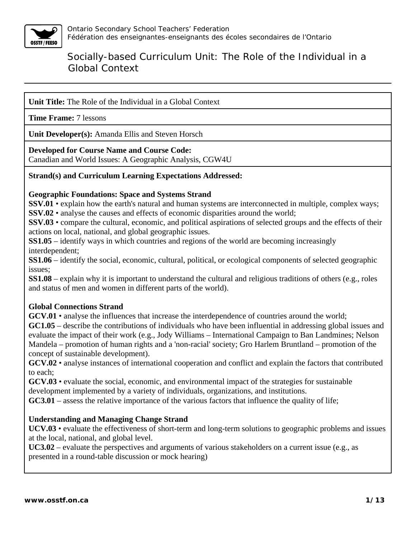

**Unit Title:** The Role of the Individual in a Global Context

**Time Frame:** 7 lessons

**Unit Developer(s):** Amanda Ellis and Steven Horsch

#### **Developed for Course Name and Course Code:**

Canadian and World Issues: A Geographic Analysis, CGW4U

### **Strand(s) and Curriculum Learning Expectations Addressed:**

#### **Geographic Foundations: Space and Systems Strand**

**SSV.01** • explain how the earth's natural and human systems are interconnected in multiple, complex ways; **SSV.02** • analyse the causes and effects of economic disparities around the world;

**SSV.03** • compare the cultural, economic, and political aspirations of selected groups and the effects of their actions on local, national, and global geographic issues.

**SS1.05** – identify ways in which countries and regions of the world are becoming increasingly interdependent;

**SS1.06** – identify the social, economic, cultural, political, or ecological components of selected geographic issues;

**SS1.08** – explain why it is important to understand the cultural and religious traditions of others (e.g., roles and status of men and women in different parts of the world).

#### **Global Connections Strand**

**GCV.01** • analyse the influences that increase the interdependence of countries around the world;

**GC1.05** – describe the contributions of individuals who have been influential in addressing global issues and evaluate the impact of their work (e.g., Jody Williams – International Campaign to Ban Landmines; Nelson Mandela – promotion of human rights and a 'non-racial' society; Gro Harlem Bruntland – promotion of the concept of sustainable development).

**GCV.02** • analyse instances of international cooperation and conflict and explain the factors that contributed to each;

**GCV.03** • evaluate the social, economic, and environmental impact of the strategies for sustainable development implemented by a variety of individuals, organizations, and institutions.

**GC3.01** – assess the relative importance of the various factors that influence the quality of life;

### **Understanding and Managing Change Strand**

**UCV.03** • evaluate the effectiveness of short-term and long-term solutions to geographic problems and issues at the local, national, and global level.

**UC3.02** – evaluate the perspectives and arguments of various stakeholders on a current issue (e.g., as presented in a round-table discussion or mock hearing)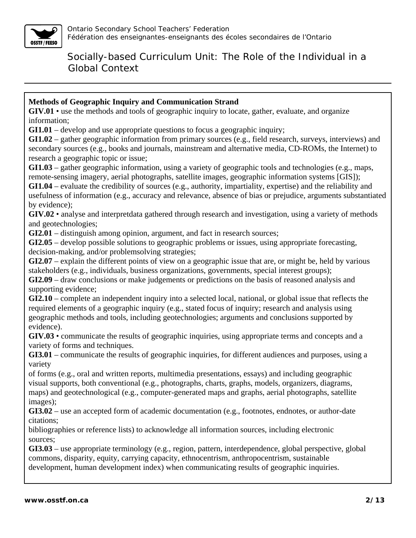

### **Methods of Geographic Inquiry and Communication Strand**

**GIV.01** • use the methods and tools of geographic inquiry to locate, gather, evaluate, and organize information;

**GI1.01** – develop and use appropriate questions to focus a geographic inquiry;

**GI1.02** – gather geographic information from primary sources (e.g., field research, surveys, interviews) and secondary sources (e.g., books and journals, mainstream and alternative media, CD-ROMs, the Internet) to research a geographic topic or issue;

**GI1.03** – gather geographic information, using a variety of geographic tools and technologies (e.g., maps, remote-sensing imagery, aerial photographs, satellite images, geographic information systems [GIS]);

**GI1.04** – evaluate the credibility of sources (e.g., authority, impartiality, expertise) and the reliability and usefulness of information (e.g., accuracy and relevance, absence of bias or prejudice, arguments substantiated by evidence);

**GIV.02** • analyse and interpretdata gathered through research and investigation, using a variety of methods and geotechnologies;

**GI2.01** – distinguish among opinion, argument, and fact in research sources;

**GI2.05** – develop possible solutions to geographic problems or issues, using appropriate forecasting, decision-making, and/or problemsolving strategies;

**GI2.07** – explain the different points of view on a geographic issue that are, or might be, held by various stakeholders (e.g., individuals, business organizations, governments, special interest groups);

**GI2.09** – draw conclusions or make judgements or predictions on the basis of reasoned analysis and supporting evidence;

**GI2.10** – complete an independent inquiry into a selected local, national, or global issue that reflects the required elements of a geographic inquiry (e.g., stated focus of inquiry; research and analysis using geographic methods and tools, including geotechnologies; arguments and conclusions supported by evidence).

**GIV.03** • communicate the results of geographic inquiries, using appropriate terms and concepts and a variety of forms and techniques.

**GI3.01** – communicate the results of geographic inquiries, for different audiences and purposes, using a variety

of forms (e.g., oral and written reports, multimedia presentations, essays) and including geographic visual supports, both conventional (e.g., photographs, charts, graphs, models, organizers, diagrams, maps) and geotechnological (e.g., computer-generated maps and graphs, aerial photographs, satellite images);

**GI3.02** – use an accepted form of academic documentation (e.g., footnotes, endnotes, or author-date citations;

bibliographies or reference lists) to acknowledge all information sources, including electronic sources;

**GI3.03** – use appropriate terminology (e.g., region, pattern, interdependence, global perspective, global commons, disparity, equity, carrying capacity, ethnocentrism, anthropocentrism, sustainable development, human development index) when communicating results of geographic inquiries.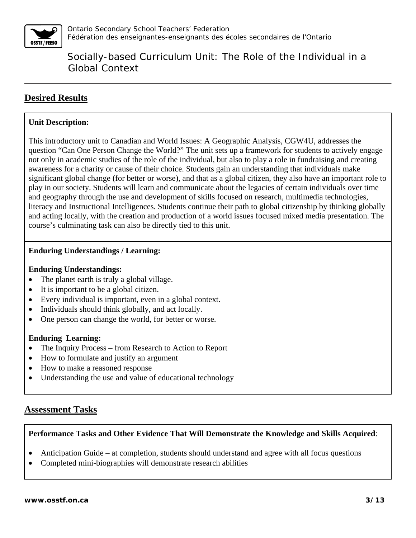

## **Desired Results**

### **Unit Description:**

This introductory unit to Canadian and World Issues: A Geographic Analysis, CGW4U, addresses the question "Can One Person Change the World?" The unit sets up a framework for students to actively engage not only in academic studies of the role of the individual, but also to play a role in fundraising and creating awareness for a charity or cause of their choice. Students gain an understanding that individuals make significant global change (for better or worse), and that as a global citizen, they also have an important role to play in our society. Students will learn and communicate about the legacies of certain individuals over time and geography through the use and development of skills focused on research, multimedia technologies, literacy and Instructional Intelligences. Students continue their path to global citizenship by thinking globally and acting locally, with the creation and production of a world issues focused mixed media presentation. The course's culminating task can also be directly tied to this unit.

### **Enduring Understandings / Learning:**

### **Enduring Understandings:**

- The planet earth is truly a global village.
- It is important to be a global citizen.
- Every individual is important, even in a global context.
- Individuals should think globally, and act locally.
- One person can change the world, for better or worse.

#### **Enduring Learning:**

- The Inquiry Process from Research to Action to Report
- How to formulate and justify an argument
- How to make a reasoned response
- Understanding the use and value of educational technology

### **Assessment Tasks**

### **Performance Tasks and Other Evidence That Will Demonstrate the Knowledge and Skills Acquired**:

- Anticipation Guide at completion, students should understand and agree with all focus questions
- Completed mini-biographies will demonstrate research abilities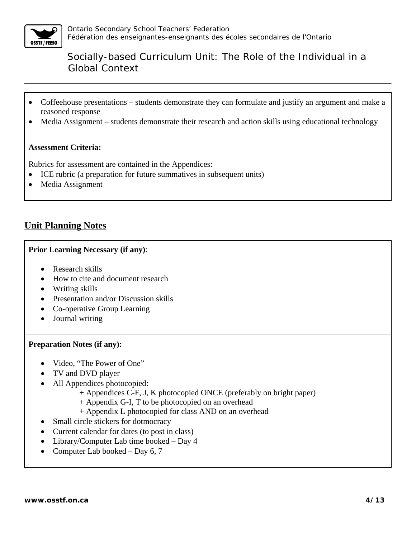

- Coffeehouse presentations students demonstrate they can formulate and justify an argument and make a reasoned response
- Media Assignment students demonstrate their research and action skills using educational technology

#### **Assessment Criteria:**

Rubrics for assessment are contained in the Appendices:

- ICE rubric (a preparation for future summatives in subsequent units)
- Media Assignment

## **Unit Planning Notes**

#### **Prior Learning Necessary (if any)**:

- Research skills
- How to cite and document research
- Writing skills
- Presentation and/or Discussion skills
- Co-operative Group Learning
- Journal writing

#### **Preparation Notes (if any):**

- Video, "The Power of One"
- TV and DVD player
- All Appendices photocopied:
	- + Appendices C-F, J, K photocopied ONCE (preferably on bright paper)
	- + Appendix G-I, T to be photocopied on an overhead
	- + Appendix L photocopied for class AND on an overhead
- Small circle stickers for dotmocracy
- Current calendar for dates (to post in class)
- Library/Computer Lab time booked Day 4
- Computer Lab booked Day  $6, 7$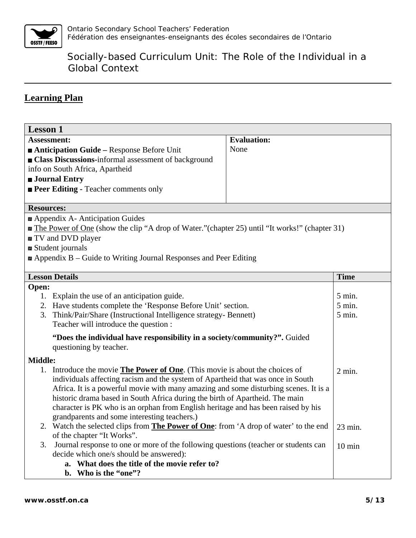

## **Learning Plan**

| <b>Lesson 1</b>                                                                                                                  |                    |                      |
|----------------------------------------------------------------------------------------------------------------------------------|--------------------|----------------------|
| Assessment:                                                                                                                      | <b>Evaluation:</b> |                      |
| Anticipation Guide – Response Before Unit                                                                                        | None               |                      |
| <b>Example 2</b> Class Discussions-informal assessment of background                                                             |                    |                      |
| info on South Africa, Apartheid                                                                                                  |                    |                      |
| <b>Journal Entry</b>                                                                                                             |                    |                      |
| <b>Peer Editing - Teacher comments only</b>                                                                                      |                    |                      |
| <b>Resources:</b>                                                                                                                |                    |                      |
| Appendix A- Anticipation Guides                                                                                                  |                    |                      |
| a The Power of One (show the clip "A drop of Water." (chapter 25) until "It works!" (chapter 31)                                 |                    |                      |
| and DVD player                                                                                                                   |                    |                      |
| ■ Student journals                                                                                                               |                    |                      |
| $\blacksquare$ Appendix B – Guide to Writing Journal Responses and Peer Editing                                                  |                    |                      |
|                                                                                                                                  |                    |                      |
| <b>Lesson Details</b>                                                                                                            |                    | <b>Time</b>          |
| Open:                                                                                                                            |                    |                      |
| 1. Explain the use of an anticipation guide.                                                                                     |                    | $5$ min.<br>$5$ min. |
| 2. Have students complete the 'Response Before Unit' section.<br>Think/Pair/Share (Instructional Intelligence strategy- Bennett) |                    | 5 min.               |
| 3.<br>Teacher will introduce the question :                                                                                      |                    |                      |
|                                                                                                                                  |                    |                      |
| "Does the individual have responsibility in a society/community?". Guided                                                        |                    |                      |
| questioning by teacher.                                                                                                          |                    |                      |
| Middle:                                                                                                                          |                    |                      |
| Introduce the movie <b>The Power of One</b> . (This movie is about the choices of                                                |                    | 2 min.               |
| individuals affecting racism and the system of Apartheid that was once in South                                                  |                    |                      |
| Africa. It is a powerful movie with many amazing and some disturbing scenes. It is a                                             |                    |                      |
| historic drama based in South Africa during the birth of Apartheid. The main                                                     |                    |                      |
| character is PK who is an orphan from English heritage and has been raised by his                                                |                    |                      |
| grandparents and some interesting teachers.)                                                                                     |                    |                      |
| 2. Watch the selected clips from <b>The Power of One</b> : from 'A drop of water' to the end                                     |                    | 23 min.              |
| of the chapter "It Works".<br>Journal response to one or more of the following questions (teacher or students can<br>3.          |                    |                      |
| decide which one/s should be answered):                                                                                          |                    | $10 \text{ min}$     |
| What does the title of the movie refer to?                                                                                       |                    |                      |
| b. Who is the "one"?                                                                                                             |                    |                      |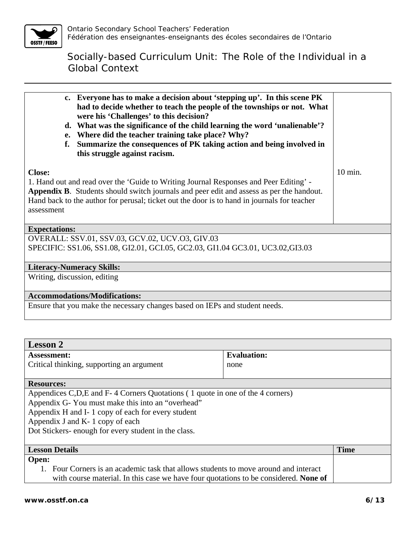

| c. Everyone has to make a decision about 'stepping up'. In this scene PK<br>had to decide whether to teach the people of the townships or not. What<br>were his 'Challenges' to this decision?<br>What was the significance of the child learning the word 'unalienable'?<br>d.<br>Where did the teacher training take place? Why?<br>e.<br>Summarize the consequences of PK taking action and being involved in<br>f.<br>this struggle against racism. |         |
|---------------------------------------------------------------------------------------------------------------------------------------------------------------------------------------------------------------------------------------------------------------------------------------------------------------------------------------------------------------------------------------------------------------------------------------------------------|---------|
| <b>Close:</b><br>1. Hand out and read over the 'Guide to Writing Journal Responses and Peer Editing' -<br>Appendix B. Students should switch journals and peer edit and assess as per the handout.<br>Hand back to the author for perusal; ticket out the door is to hand in journals for teacher<br>assessment                                                                                                                                         | 10 min. |
| <b>Expectations:</b>                                                                                                                                                                                                                                                                                                                                                                                                                                    |         |
| OVERALL: SSV.01, SSV.03, GCV.02, UCV.03, GIV.03                                                                                                                                                                                                                                                                                                                                                                                                         |         |
| SPECIFIC: SS1.06, SS1.08, GI2.01, GCI.05, GC2.03, GI1.04 GC3.01, UC3.02, GI3.03                                                                                                                                                                                                                                                                                                                                                                         |         |
| <b>Literacy-Numeracy Skills:</b>                                                                                                                                                                                                                                                                                                                                                                                                                        |         |
| Writing, discussion, editing                                                                                                                                                                                                                                                                                                                                                                                                                            |         |
| <b>Accommodations/Modifications:</b>                                                                                                                                                                                                                                                                                                                                                                                                                    |         |
| Ensure that you make the necessary changes based on IEPs and student needs.                                                                                                                                                                                                                                                                                                                                                                             |         |

| <b>Lesson 2</b>                                                                             |                    |             |
|---------------------------------------------------------------------------------------------|--------------------|-------------|
| <b>Assessment:</b>                                                                          | <b>Evaluation:</b> |             |
| Critical thinking, supporting an argument                                                   | none               |             |
|                                                                                             |                    |             |
| <b>Resources:</b>                                                                           |                    |             |
| Appendices C,D,E and F-4 Corners Quotations (1 quote in one of the 4 corners)               |                    |             |
| Appendix G-You must make this into an "overhead"                                            |                    |             |
| Appendix H and I-1 copy of each for every student                                           |                    |             |
| Appendix J and K- 1 copy of each                                                            |                    |             |
| Dot Stickers- enough for every student in the class.                                        |                    |             |
|                                                                                             |                    |             |
| <b>Lesson Details</b>                                                                       |                    | <b>Time</b> |
| Open:                                                                                       |                    |             |
| Four Corners is an academic task that allows students to move around and interact           |                    |             |
| with course material. In this case we have four quotations to be considered. <b>None of</b> |                    |             |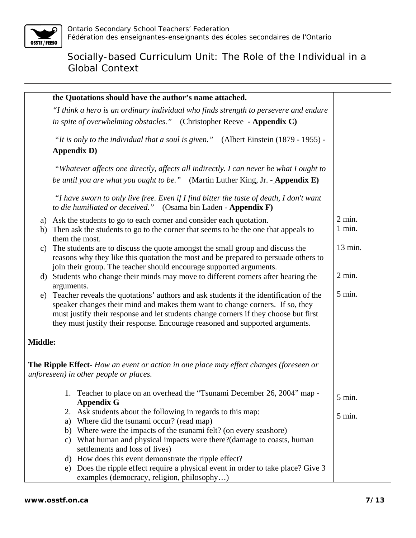

|                                                                                      |            | the Quotations should have the author's name attached.                                                                                                                |          |
|--------------------------------------------------------------------------------------|------------|-----------------------------------------------------------------------------------------------------------------------------------------------------------------------|----------|
| "I think a hero is an ordinary individual who finds strength to persevere and endure |            |                                                                                                                                                                       |          |
|                                                                                      |            | in spite of overwhelming obstacles." (Christopher Reeve - Appendix C)                                                                                                 |          |
|                                                                                      |            |                                                                                                                                                                       |          |
|                                                                                      |            | "It is only to the individual that a soul is given." (Albert Einstein $(1879 - 1955)$ ) -                                                                             |          |
|                                                                                      |            | <b>Appendix D)</b>                                                                                                                                                    |          |
|                                                                                      |            | "Whatever affects one directly, affects all indirectly. I can never be what I ought to                                                                                |          |
|                                                                                      |            | be until you are what you ought to be." (Martin Luther King, Jr. - Appendix E)                                                                                        |          |
|                                                                                      |            | "I have sworn to only live free. Even if I find bitter the taste of death, I don't want<br>to die humiliated or deceived." (Osama bin Laden - Appendix F)             |          |
| a)                                                                                   |            | Ask the students to go to each corner and consider each quotation.                                                                                                    | $2$ min. |
| b)                                                                                   |            | Then ask the students to go to the corner that seems to be the one that appeals to                                                                                    | 1 min.   |
|                                                                                      |            | them the most.                                                                                                                                                        |          |
| c)                                                                                   |            | The students are to discuss the quote amongst the small group and discuss the                                                                                         | 13 min.  |
|                                                                                      |            | reasons why they like this quotation the most and be prepared to persuade others to                                                                                   |          |
|                                                                                      |            | join their group. The teacher should encourage supported arguments.                                                                                                   |          |
| d) Students who change their minds may move to different corners after hearing the   |            | $2$ min.                                                                                                                                                              |          |
|                                                                                      | arguments. |                                                                                                                                                                       |          |
| e)                                                                                   |            | Teacher reveals the quotations' authors and ask students if the identification of the                                                                                 | 5 min.   |
|                                                                                      |            | speaker changes their mind and makes them want to change corners. If so, they                                                                                         |          |
|                                                                                      |            | must justify their response and let students change corners if they choose but first<br>they must justify their response. Encourage reasoned and supported arguments. |          |
|                                                                                      |            |                                                                                                                                                                       |          |
| <b>Middle:</b>                                                                       |            |                                                                                                                                                                       |          |
|                                                                                      |            |                                                                                                                                                                       |          |
|                                                                                      |            | <b>The Ripple Effect-</b> How an event or action in one place may effect changes (foreseen or                                                                         |          |
|                                                                                      |            | unforeseen) in other people or places.                                                                                                                                |          |
|                                                                                      |            | 1. Teacher to place on an overhead the "Tsunami December 26, 2004" map -                                                                                              |          |
|                                                                                      |            | <b>Appendix G</b>                                                                                                                                                     | 5 min.   |
|                                                                                      | 2.         | Ask students about the following in regards to this map:                                                                                                              | 5 min.   |
|                                                                                      | a)         | Where did the tsunami occur? (read map)                                                                                                                               |          |
|                                                                                      | b)         | Where were the impacts of the tsunami felt? (on every seash ore)                                                                                                      |          |
|                                                                                      | C)         | What human and physical impacts were there?(damage to coasts, human                                                                                                   |          |
|                                                                                      |            | settlements and loss of lives)                                                                                                                                        |          |
|                                                                                      | d)         | How does this event demonstrate the ripple effect?                                                                                                                    |          |
|                                                                                      |            | e) Does the ripple effect require a physical event in order to take place? Give 3                                                                                     |          |
|                                                                                      |            | examples (democracy, religion, philosophy)                                                                                                                            |          |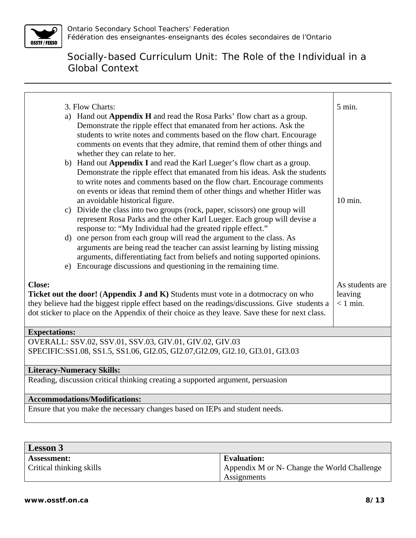

|                                  | 3. Flow Charts:                                                                                                                                                                                                                                                                                                                                      | 5 min.                                   |
|----------------------------------|------------------------------------------------------------------------------------------------------------------------------------------------------------------------------------------------------------------------------------------------------------------------------------------------------------------------------------------------------|------------------------------------------|
|                                  | a) Hand out Appendix H and read the Rosa Parks' flow chart as a group.<br>Demonstrate the ripple effect that emanated from her actions. Ask the<br>students to write notes and comments based on the flow chart. Encourage<br>comments on events that they admire, that remind them of other things and<br>whether they can relate to her.           |                                          |
|                                  | b) Hand out Appendix I and read the Karl Lueger's flow chart as a group.<br>Demonstrate the ripple effect that emanated from his ideas. Ask the students<br>to write notes and comments based on the flow chart. Encourage comments<br>on events or ideas that remind them of other things and whether Hitler was<br>an avoidable historical figure. | $10 \text{ min.}$                        |
| C)                               | Divide the class into two groups (rock, paper, scissors) one group will<br>represent Rosa Parks and the other Karl Lueger. Each group will devise a<br>response to: "My Individual had the greated ripple effect."                                                                                                                                   |                                          |
|                                  | d) one person from each group will read the argument to the class. As<br>arguments are being read the teacher can assist learning by listing missing<br>arguments, differentiating fact from beliefs and noting supported opinions.<br>e) Encourage discussions and questioning in the remaining time.                                               |                                          |
| <b>Close:</b>                    | Ticket out the door! (Appendix J and K) Students must vote in a dotmocracy on who<br>they believe had the biggest ripple effect based on the readings/discussions. Give students a<br>dot sticker to place on the Appendix of their choice as they leave. Save these for next class.                                                                 | As students are<br>leaving<br>$<$ 1 min. |
| <b>Expectations:</b>             |                                                                                                                                                                                                                                                                                                                                                      |                                          |
|                                  | OVERALL: SSV.02, SSV.01, SSV.03, GIV.01, GIV.02, GIV.03<br>SPECIFIC:SS1.08, SS1.5, SS1.06, GI2.05, GI2.07, GI2.09, GI2.10, GI3.01, GI3.03                                                                                                                                                                                                            |                                          |
| <b>Literacy-Numeracy Skills:</b> |                                                                                                                                                                                                                                                                                                                                                      |                                          |
|                                  | Reading, discussion critical thinking creating a supported argument, persuasion                                                                                                                                                                                                                                                                      |                                          |
|                                  | <b>Accommodations/Modifications:</b>                                                                                                                                                                                                                                                                                                                 |                                          |
|                                  | Ensure that you make the necessary changes based on IEPs and student needs.                                                                                                                                                                                                                                                                          |                                          |

| <b>Lesson 3</b>          |                                             |
|--------------------------|---------------------------------------------|
| <b>Assessment:</b>       | Evaluation:                                 |
| Critical thinking skills | Appendix M or N- Change the World Challenge |
|                          | Assignments                                 |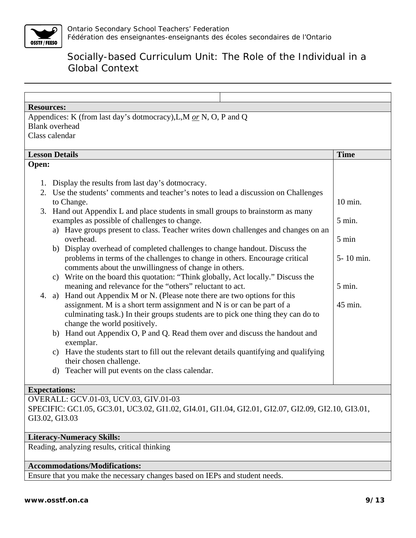

| <b>Resources:</b>                                                                                                |             |
|------------------------------------------------------------------------------------------------------------------|-------------|
| Appendices: K (from last day's dotmocracy), L, M $_{\text{o}r}$ N, O, P and Q<br><b>Blank</b> overhead           |             |
| Class calendar                                                                                                   |             |
|                                                                                                                  |             |
| <b>Lesson Details</b>                                                                                            | <b>Time</b> |
| Open:                                                                                                            |             |
|                                                                                                                  |             |
| 1. Display the results from last day's dotmocracy.                                                               |             |
| 2. Use the students' comments and teacher's notes to lead a discussion on Challenges                             |             |
| to Change.                                                                                                       | 10 min.     |
| Hand out Appendix L and place students in small groups to brainstorm as many<br>3.                               |             |
| examples as possible of challenges to change.                                                                    | 5 min.      |
| a) Have groups present to class. Teacher writes down challenges and changes on an                                |             |
| overhead.                                                                                                        | 5 min       |
| b) Display overhead of completed challenges to change handout. Discuss the                                       |             |
| problems in terms of the challenges to change in others. Encourage critical                                      | 5-10 min.   |
| comments about the unwillingness of change in others.                                                            |             |
| c) Write on the board this quotation: "Think globally, Act locally." Discuss the                                 |             |
| meaning and relevance for the "others" reluctant to act.                                                         | 5 min.      |
| 4. a) Hand out Appendix M or N. (Please note there are two options for this                                      |             |
| assignment. M is a short term assignment and N is or can be part of a                                            | 45 min.     |
| culminating task.) In their groups students are to pick one thing they can do to<br>change the world positively. |             |
| b) Hand out Appendix O, P and Q. Read them over and discuss the handout and                                      |             |
| exemplar.                                                                                                        |             |
| c) Have the students start to fill out the relevant details quantifying and qualifying                           |             |
| their chosen challenge.                                                                                          |             |
| Teacher will put events on the class calendar.<br>d)                                                             |             |
|                                                                                                                  |             |
| <b>Expectations:</b>                                                                                             |             |
| OVERALL: GCV.01-03, UCV.03, GIV.01-03                                                                            |             |
| SPECIFIC: GC1.05, GC3.01, UC3.02, GI1.02, GI4.01, GI1.04, GI2.01, GI2.07, GI2.09, GI2.10, GI3.01,                |             |
| GI3.02, GI3.03                                                                                                   |             |
|                                                                                                                  |             |
| <b>Literacy-Numeracy Skills:</b>                                                                                 |             |
| Reading, analyzing results, critical thinking                                                                    |             |
| <b>Accommodations/Modifications:</b>                                                                             |             |

Ensure that you make the necessary changes based on IEPs and student needs.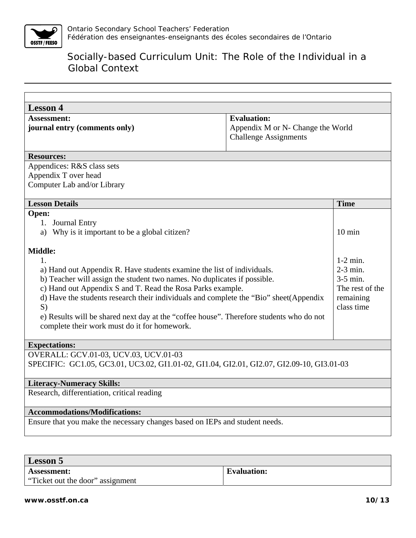

| <b>Lesson 4</b>                                                                                                                                                                                                                                                                                                                                                                                                                                                                                                                                                 |                                                                                         |                                                                                                        |
|-----------------------------------------------------------------------------------------------------------------------------------------------------------------------------------------------------------------------------------------------------------------------------------------------------------------------------------------------------------------------------------------------------------------------------------------------------------------------------------------------------------------------------------------------------------------|-----------------------------------------------------------------------------------------|--------------------------------------------------------------------------------------------------------|
| <b>Assessment:</b><br>journal entry (comments only)                                                                                                                                                                                                                                                                                                                                                                                                                                                                                                             | <b>Evaluation:</b><br>Appendix M or N- Change the World<br><b>Challenge Assignments</b> |                                                                                                        |
| <b>Resources:</b>                                                                                                                                                                                                                                                                                                                                                                                                                                                                                                                                               |                                                                                         |                                                                                                        |
| Appendices: R&S class sets<br>Appendix T over head<br>Computer Lab and/or Library                                                                                                                                                                                                                                                                                                                                                                                                                                                                               |                                                                                         |                                                                                                        |
| <b>Lesson Details</b>                                                                                                                                                                                                                                                                                                                                                                                                                                                                                                                                           |                                                                                         | <b>Time</b>                                                                                            |
| Open:<br>1. Journal Entry<br>a) Why is it important to be a global citizen?<br>Middle:<br>$1_{-}$<br>a) Hand out Appendix R. Have students examine the list of individuals.<br>b) Teacher will assign the student two names. No duplicates if possible.<br>c) Hand out Appendix S and T. Read the Rosa Parks example.<br>d) Have the students research their individuals and complete the "Bio" sheet(Appendix<br>S)<br>e) Results will be shared next day at the "coffee house". Therefore students who do not<br>complete their work must do it for homework. |                                                                                         | $10 \text{ min}$<br>$1-2$ min.<br>2-3 min.<br>$3-5$ min.<br>The rest of the<br>remaining<br>class time |
| <b>Expectations:</b>                                                                                                                                                                                                                                                                                                                                                                                                                                                                                                                                            |                                                                                         |                                                                                                        |
| OVERALL: GCV.01-03, UCV.03, UCV.01-03<br>SPECIFIC: GC1.05, GC3.01, UC3.02, GI1.01-02, GI1.04, GI2.01, GI2.07, GI2.09-10, GI3.01-03                                                                                                                                                                                                                                                                                                                                                                                                                              |                                                                                         |                                                                                                        |
| <b>Literacy-Numeracy Skills:</b>                                                                                                                                                                                                                                                                                                                                                                                                                                                                                                                                |                                                                                         |                                                                                                        |
| Research, differentiation, critical reading                                                                                                                                                                                                                                                                                                                                                                                                                                                                                                                     |                                                                                         |                                                                                                        |
| <b>Accommodations/Modifications:</b>                                                                                                                                                                                                                                                                                                                                                                                                                                                                                                                            |                                                                                         |                                                                                                        |
| Ensure that you make the necessary changes based on IEPs and student needs.                                                                                                                                                                                                                                                                                                                                                                                                                                                                                     |                                                                                         |                                                                                                        |

| Lesson 5                         |                    |
|----------------------------------|--------------------|
| <b>Assessment:</b>               | <b>Evaluation:</b> |
| "Ticket out the door" assignment |                    |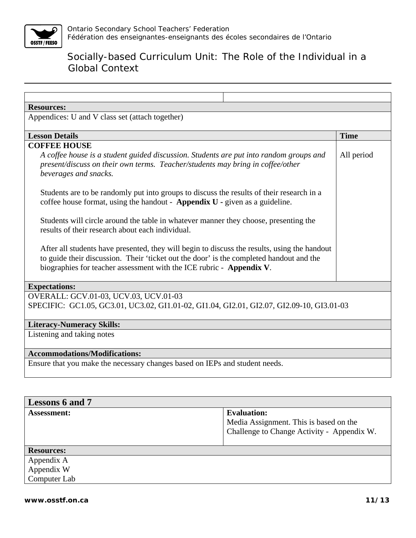

| <b>Resources:</b>                                                                                                                                                                                                                                                                                                                                                                                           |                                                              |             |
|-------------------------------------------------------------------------------------------------------------------------------------------------------------------------------------------------------------------------------------------------------------------------------------------------------------------------------------------------------------------------------------------------------------|--------------------------------------------------------------|-------------|
| Appendices: U and V class set (attach together)                                                                                                                                                                                                                                                                                                                                                             |                                                              |             |
|                                                                                                                                                                                                                                                                                                                                                                                                             |                                                              |             |
| <b>Lesson Details</b>                                                                                                                                                                                                                                                                                                                                                                                       |                                                              | <b>Time</b> |
| <b>COFFEE HOUSE</b><br>A coffee house is a student guided discussion. Students are put into random groups and<br>present/discuss on their own terms. Teacher/students may bring in coffee/other<br>beverages and snacks.<br>Students are to be randomly put into groups to discuss the results of their research in a<br>coffee house format, using the handout - Appendix $U$ - given as a guideline.      |                                                              | All period  |
| Students will circle around the table in whatever manner they choose, presenting the<br>results of their research about each individual.<br>After all students have presented, they will begin to discuss the results, using the handout<br>to guide their discussion. Their 'ticket out the door' is the completed handout and the<br>biographies for teacher assessment with the ICE rubric - Appendix V. |                                                              |             |
| <b>Expectations:</b>                                                                                                                                                                                                                                                                                                                                                                                        |                                                              |             |
| OVERALL: GCV.01-03, UCV.03, UCV.01-03<br>SPECIFIC: GC1.05, GC3.01, UC3.02, GI1.01-02, GI1.04, GI2.01, GI2.07, GI2.09-10, GI3.01-03                                                                                                                                                                                                                                                                          |                                                              |             |
| <b>Literacy-Numeracy Skills:</b>                                                                                                                                                                                                                                                                                                                                                                            |                                                              |             |
| Listening and taking notes                                                                                                                                                                                                                                                                                                                                                                                  |                                                              |             |
| <b>Accommodations/Modifications:</b>                                                                                                                                                                                                                                                                                                                                                                        |                                                              |             |
| Ensure that you make the necessary changes based on IEPs and student needs.                                                                                                                                                                                                                                                                                                                                 |                                                              |             |
|                                                                                                                                                                                                                                                                                                                                                                                                             |                                                              |             |
| <b>Lessons 6 and 7</b>                                                                                                                                                                                                                                                                                                                                                                                      |                                                              |             |
| Assessment:                                                                                                                                                                                                                                                                                                                                                                                                 | <b>Evaluation:</b><br>Media Assignment. This is based on the |             |

| <b>Resources:</b> |  |
|-------------------|--|
| Appendix A        |  |
| Appendix W        |  |
| Computer Lab      |  |

Challenge to Change Activity - Appendix W.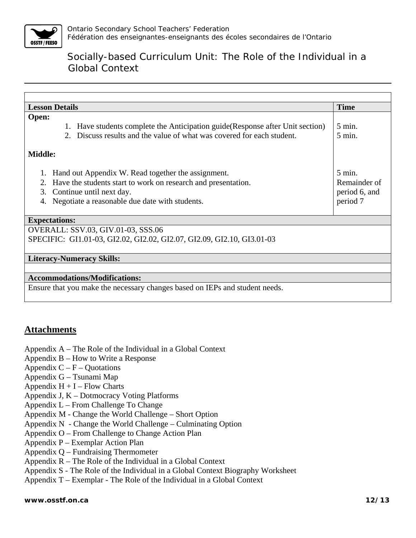

| <b>Lesson Details</b>                                                                                                                                                                                                     | <b>Time</b>                                                   |
|---------------------------------------------------------------------------------------------------------------------------------------------------------------------------------------------------------------------------|---------------------------------------------------------------|
| Open:<br>1. Have students complete the Anticipation guide (Response after Unit section)<br>Discuss results and the value of what was covered for each student.<br>$2^{\circ}$                                             | $5 \text{ min.}$<br>$5 \text{ min.}$                          |
| <b>Middle:</b>                                                                                                                                                                                                            |                                                               |
| Hand out Appendix W. Read together the assignment.<br>1.<br>Have the students start to work on research and presentation.<br>2.<br>3.<br>Continue until next day.<br>Negotiate a reasonable due date with students.<br>4. | $5 \text{ min.}$<br>Remainder of<br>period 6, and<br>period 7 |
| <b>Expectations:</b>                                                                                                                                                                                                      |                                                               |
| OVERALL: SSV.03, GIV.01-03, SSS.06<br>SPECIFIC: GI1.01-03, GI2.02, GI2.02, GI2.07, GI2.09, GI2.10, GI3.01-03                                                                                                              |                                                               |
| <b>Literacy-Numeracy Skills:</b>                                                                                                                                                                                          |                                                               |
|                                                                                                                                                                                                                           |                                                               |
| <b>Accommodations/Modifications:</b>                                                                                                                                                                                      |                                                               |
| Ensure that you make the necessary changes based on IEPs and student needs.                                                                                                                                               |                                                               |

## **Attachments**

- Appendix A The Role of the Individual in a Global Context
- Appendix B How to Write a Response
- Appendix  $C F -$ Quotations
- Appendix G Tsunami Map
- Appendix  $H + I Flow$  Charts
- Appendix J, K Dotmocracy Voting Platforms
- Appendix L From Challenge To Change
- Appendix M Change the World Challenge Short Option
- Appendix N Change the World Challenge Culminating Option
- Appendix O From Challenge to Change Action Plan
- Appendix P Exemplar Action Plan
- Appendix Q Fundraising Thermometer
- Appendix R The Role of the Individual in a Global Context
- Appendix S The Role of the Individual in a Global Context Biography Worksheet
- Appendix T Exemplar The Role of the Individual in a Global Context